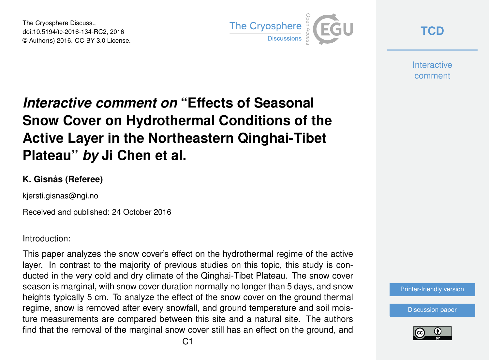The Cryosphere Discuss., doi:10.5194/tc-2016-134-RC2, 2016 © Author(s) 2016. CC-BY 3.0 License.



**[TCD](http://www.the-cryosphere-discuss.net/)**

**Interactive** comment

# *Interactive comment on* **"Effects of Seasonal Snow Cover on Hydrothermal Conditions of the Active Layer in the Northeastern Qinghai-Tibet Plateau"** *by* **Ji Chen et al.**

#### **K. Gisnås (Referee)**

kjersti.gisnas@ngi.no

Received and published: 24 October 2016

Introduction:

This paper analyzes the snow cover's effect on the hydrothermal regime of the active layer. In contrast to the majority of previous studies on this topic, this study is conducted in the very cold and dry climate of the Qinghai-Tibet Plateau. The snow cover season is marginal, with snow cover duration normally no longer than 5 days, and snow heights typically 5 cm. To analyze the effect of the snow cover on the ground thermal regime, snow is removed after every snowfall, and ground temperature and soil moisture measurements are compared between this site and a natural site. The authors find that the removal of the marginal snow cover still has an effect on the ground, and



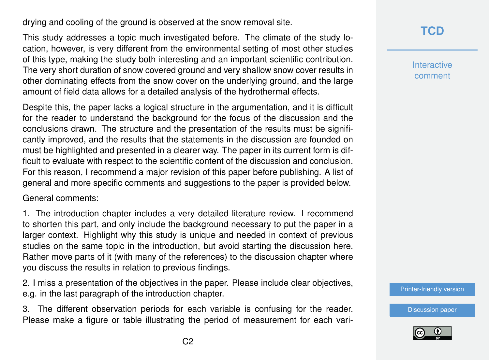drying and cooling of the ground is observed at the snow removal site.

This study addresses a topic much investigated before. The climate of the study location, however, is very different from the environmental setting of most other studies of this type, making the study both interesting and an important scientific contribution. The very short duration of snow covered ground and very shallow snow cover results in other dominating effects from the snow cover on the underlying ground, and the large amount of field data allows for a detailed analysis of the hydrothermal effects.

Despite this, the paper lacks a logical structure in the argumentation, and it is difficult for the reader to understand the background for the focus of the discussion and the conclusions drawn. The structure and the presentation of the results must be significantly improved, and the results that the statements in the discussion are founded on must be highlighted and presented in a clearer way. The paper in its current form is difficult to evaluate with respect to the scientific content of the discussion and conclusion. For this reason, I recommend a major revision of this paper before publishing. A list of general and more specific comments and suggestions to the paper is provided below.

General comments:

1. The introduction chapter includes a very detailed literature review. I recommend to shorten this part, and only include the background necessary to put the paper in a larger context. Highlight why this study is unique and needed in context of previous studies on the same topic in the introduction, but avoid starting the discussion here. Rather move parts of it (with many of the references) to the discussion chapter where you discuss the results in relation to previous findings.

2. I miss a presentation of the objectives in the paper. Please include clear objectives, e.g. in the last paragraph of the introduction chapter.

3. The different observation periods for each variable is confusing for the reader. Please make a figure or table illustrating the period of measurement for each vari-

#### **[TCD](http://www.the-cryosphere-discuss.net/)**

**Interactive** comment

[Printer-friendly version](http://www.the-cryosphere-discuss.net/tc-2016-134/tc-2016-134-RC2-print.pdf)

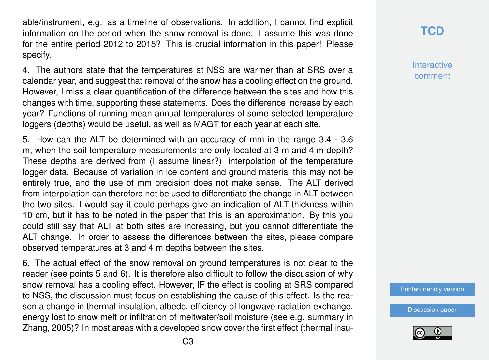able/instrument, e.g. as a timeline of observations. In addition, I cannot find explicit information on the period when the snow removal is done. I assume this was done for the entire period 2012 to 2015? This is crucial information in this paper! Please specify.

4. The authors state that the temperatures at NSS are warmer than at SRS over a calendar year, and suggest that removal of the snow has a cooling effect on the ground. However, I miss a clear quantification of the difference between the sites and how this changes with time, supporting these statements. Does the difference increase by each year? Functions of running mean annual temperatures of some selected temperature loggers (depths) would be useful, as well as MAGT for each year at each site.

5. How can the ALT be determined with an accuracy of mm in the range 3.4 - 3.6 m, when the soil temperature measurements are only located at 3 m and 4 m depth? These depths are derived from (I assume linear?) interpolation of the temperature logger data. Because of variation in ice content and ground material this may not be entirely true, and the use of mm precision does not make sense. The ALT derived from interpolation can therefore not be used to differentiate the change in ALT between the two sites. I would say it could perhaps give an indication of ALT thickness within 10 cm, but it has to be noted in the paper that this is an approximation. By this you could still say that ALT at both sites are increasing, but you cannot differentiate the ALT change. In order to assess the differences between the sites, please compare observed temperatures at 3 and 4 m depths between the sites.

6. The actual effect of the snow removal on ground temperatures is not clear to the reader (see points 5 and 6). It is therefore also difficult to follow the discussion of why snow removal has a cooling effect. However, IF the effect is cooling at SRS compared to NSS, the discussion must focus on establishing the cause of this effect. Is the reason a change in thermal insulation, albedo, efficiency of longwave radiation exchange, energy lost to snow melt or infiltration of meltwater/soil moisture (see e.g. summary in Zhang, 2005)? In most areas with a developed snow cover the first effect (thermal insu-

### **[TCD](http://www.the-cryosphere-discuss.net/)**

**Interactive** comment

[Printer-friendly version](http://www.the-cryosphere-discuss.net/tc-2016-134/tc-2016-134-RC2-print.pdf)

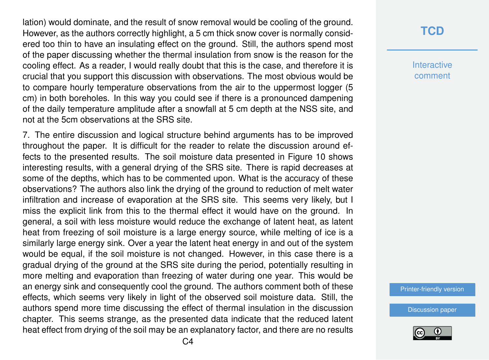lation) would dominate, and the result of snow removal would be cooling of the ground. However, as the authors correctly highlight, a 5 cm thick snow cover is normally considered too thin to have an insulating effect on the ground. Still, the authors spend most of the paper discussing whether the thermal insulation from snow is the reason for the cooling effect. As a reader, I would really doubt that this is the case, and therefore it is crucial that you support this discussion with observations. The most obvious would be to compare hourly temperature observations from the air to the uppermost logger (5 cm) in both boreholes. In this way you could see if there is a pronounced dampening of the daily temperature amplitude after a snowfall at 5 cm depth at the NSS site, and not at the 5cm observations at the SRS site.

7. The entire discussion and logical structure behind arguments has to be improved throughout the paper. It is difficult for the reader to relate the discussion around effects to the presented results. The soil moisture data presented in Figure 10 shows interesting results, with a general drying of the SRS site. There is rapid decreases at some of the depths, which has to be commented upon. What is the accuracy of these observations? The authors also link the drying of the ground to reduction of melt water infiltration and increase of evaporation at the SRS site. This seems very likely, but I miss the explicit link from this to the thermal effect it would have on the ground. In general, a soil with less moisture would reduce the exchange of latent heat, as latent heat from freezing of soil moisture is a large energy source, while melting of ice is a similarly large energy sink. Over a year the latent heat energy in and out of the system would be equal, if the soil moisture is not changed. However, in this case there is a gradual drying of the ground at the SRS site during the period, potentially resulting in more melting and evaporation than freezing of water during one year. This would be an energy sink and consequently cool the ground. The authors comment both of these effects, which seems very likely in light of the observed soil moisture data. Still, the authors spend more time discussing the effect of thermal insulation in the discussion chapter. This seems strange, as the presented data indicate that the reduced latent heat effect from drying of the soil may be an explanatory factor, and there are no results

### **[TCD](http://www.the-cryosphere-discuss.net/)**

**Interactive** comment

[Printer-friendly version](http://www.the-cryosphere-discuss.net/tc-2016-134/tc-2016-134-RC2-print.pdf)

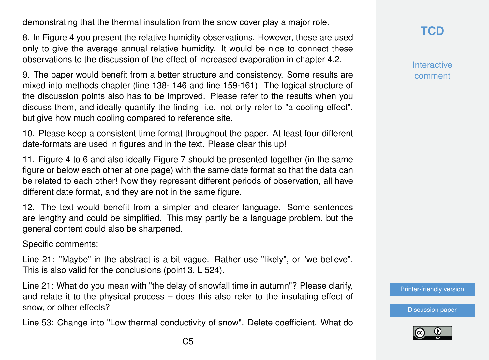demonstrating that the thermal insulation from the snow cover play a major role.

8. In Figure 4 you present the relative humidity observations. However, these are used only to give the average annual relative humidity. It would be nice to connect these observations to the discussion of the effect of increased evaporation in chapter 4.2.

9. The paper would benefit from a better structure and consistency. Some results are mixed into methods chapter (line 138- 146 and line 159-161). The logical structure of the discussion points also has to be improved. Please refer to the results when you discuss them, and ideally quantify the finding, i.e. not only refer to "a cooling effect", but give how much cooling compared to reference site.

10. Please keep a consistent time format throughout the paper. At least four different date-formats are used in figures and in the text. Please clear this up!

11. Figure 4 to 6 and also ideally Figure 7 should be presented together (in the same figure or below each other at one page) with the same date format so that the data can be related to each other! Now they represent different periods of observation, all have different date format, and they are not in the same figure.

12. The text would benefit from a simpler and clearer language. Some sentences are lengthy and could be simplified. This may partly be a language problem, but the general content could also be sharpened.

Specific comments:

Line 21: "Maybe" in the abstract is a bit vague. Rather use "likely", or "we believe". This is also valid for the conclusions (point 3, L 524).

Line 21: What do you mean with "the delay of snowfall time in autumn"? Please clarify, and relate it to the physical process – does this also refer to the insulating effect of snow, or other effects?

Line 53: Change into "Low thermal conductivity of snow". Delete coefficient. What do

**Interactive** comment

[Printer-friendly version](http://www.the-cryosphere-discuss.net/tc-2016-134/tc-2016-134-RC2-print.pdf)

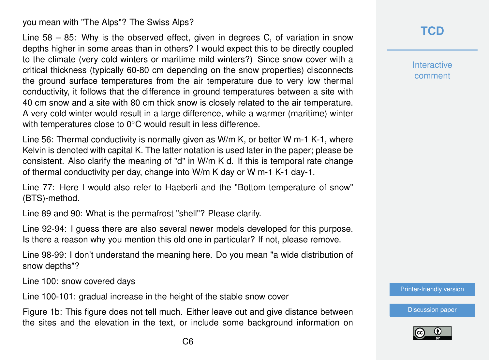you mean with "The Alps"? The Swiss Alps?

Line 58 – 85: Why is the observed effect, given in degrees C, of variation in snow depths higher in some areas than in others? I would expect this to be directly coupled to the climate (very cold winters or maritime mild winters?) Since snow cover with a critical thickness (typically 60-80 cm depending on the snow properties) disconnects the ground surface temperatures from the air temperature due to very low thermal conductivity, it follows that the difference in ground temperatures between a site with 40 cm snow and a site with 80 cm thick snow is closely related to the air temperature. A very cold winter would result in a large difference, while a warmer (maritime) winter with temperatures close to 0<sup>°</sup>C would result in less difference.

Line 56: Thermal conductivity is normally given as W/m K, or better W m-1 K-1, where Kelvin is denoted with capital K. The latter notation is used later in the paper; please be consistent. Also clarify the meaning of "d" in W/m K d. If this is temporal rate change of thermal conductivity per day, change into W/m K day or W m-1 K-1 day-1.

Line 77: Here I would also refer to Haeberli and the "Bottom temperature of snow" (BTS)-method.

Line 89 and 90: What is the permafrost "shell"? Please clarify.

Line 92-94: I guess there are also several newer models developed for this purpose. Is there a reason why you mention this old one in particular? If not, please remove.

Line 98-99: I don't understand the meaning here. Do you mean "a wide distribution of snow depths"?

Line 100: snow covered days

Line 100-101: gradual increase in the height of the stable snow cover

Figure 1b: This figure does not tell much. Either leave out and give distance between the sites and the elevation in the text, or include some background information on

# **[TCD](http://www.the-cryosphere-discuss.net/)**

**Interactive** comment

[Printer-friendly version](http://www.the-cryosphere-discuss.net/tc-2016-134/tc-2016-134-RC2-print.pdf)

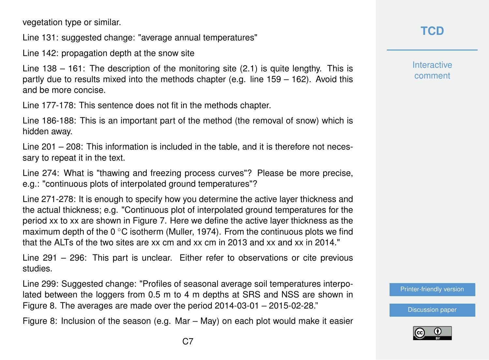vegetation type or similar.

Line 131: suggested change: "average annual temperatures"

Line 142: propagation depth at the snow site

Line 138 – 161: The description of the monitoring site (2.1) is quite lengthy. This is partly due to results mixed into the methods chapter (e.g. line 159 – 162). Avoid this and be more concise.

Line 177-178: This sentence does not fit in the methods chapter.

Line 186-188: This is an important part of the method (the removal of snow) which is hidden away.

Line 201 – 208: This information is included in the table, and it is therefore not necessary to repeat it in the text.

Line 274: What is "thawing and freezing process curves"? Please be more precise, e.g.: "continuous plots of interpolated ground temperatures"?

Line 271-278: It is enough to specify how you determine the active layer thickness and the actual thickness; e.g. "Continuous plot of interpolated ground temperatures for the period xx to xx are shown in Figure 7. Here we define the active layer thickness as the maximum depth of the 0  $\degree$ C isotherm (Muller, 1974). From the continuous plots we find that the ALTs of the two sites are xx cm and xx cm in 2013 and xx and xx in 2014."

Line 291 – 296: This part is unclear. Either refer to observations or cite previous studies.

Line 299: Suggested change: "Profiles of seasonal average soil temperatures interpolated between the loggers from 0.5 m to 4 m depths at SRS and NSS are shown in Figure 8. The averages are made over the period 2014-03-01 – 2015-02-28."

Figure 8: Inclusion of the season (e.g. Mar – May) on each plot would make it easier

# **[TCD](http://www.the-cryosphere-discuss.net/)**

**Interactive** comment

[Printer-friendly version](http://www.the-cryosphere-discuss.net/tc-2016-134/tc-2016-134-RC2-print.pdf)

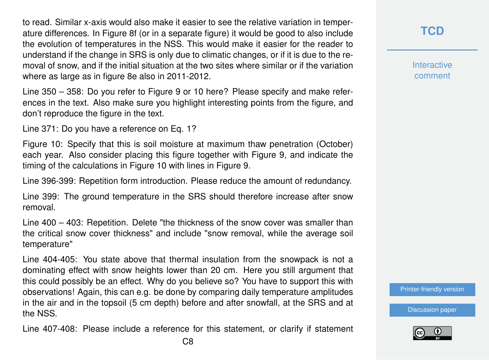to read. Similar x-axis would also make it easier to see the relative variation in temperature differences. In Figure 8f (or in a separate figure) it would be good to also include the evolution of temperatures in the NSS. This would make it easier for the reader to understand if the change in SRS is only due to climatic changes, or if it is due to the removal of snow, and if the initial situation at the two sites where similar or if the variation where as large as in figure 8e also in 2011-2012.

Line 350 – 358: Do you refer to Figure 9 or 10 here? Please specify and make references in the text. Also make sure you highlight interesting points from the figure, and don't reproduce the figure in the text.

Line 371: Do you have a reference on Eq. 1?

Figure 10: Specify that this is soil moisture at maximum thaw penetration (October) each year. Also consider placing this figure together with Figure 9, and indicate the timing of the calculations in Figure 10 with lines in Figure 9.

Line 396-399: Repetition form introduction. Please reduce the amount of redundancy.

Line 399: The ground temperature in the SRS should therefore increase after snow removal.

Line 400 – 403: Repetition. Delete "the thickness of the snow cover was smaller than the critical snow cover thickness" and include "snow removal, while the average soil temperature"

Line 404-405: You state above that thermal insulation from the snowpack is not a dominating effect with snow heights lower than 20 cm. Here you still argument that this could possibly be an effect. Why do you believe so? You have to support this with observations! Again, this can e.g. be done by comparing daily temperature amplitudes in the air and in the topsoil (5 cm depth) before and after snowfall, at the SRS and at the NSS.

Line 407-408: Please include a reference for this statement, or clarify if statement

**[TCD](http://www.the-cryosphere-discuss.net/)**

**Interactive** comment

[Printer-friendly version](http://www.the-cryosphere-discuss.net/tc-2016-134/tc-2016-134-RC2-print.pdf)